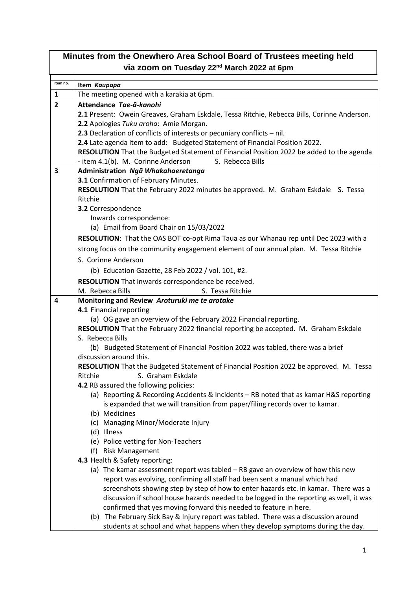| Minutes from the Onewhero Area School Board of Trustees meeting held |                                                                                                                                                                |  |
|----------------------------------------------------------------------|----------------------------------------------------------------------------------------------------------------------------------------------------------------|--|
| via zoom on Tuesday 22 <sup>nd</sup> March 2022 at 6pm               |                                                                                                                                                                |  |
| Item no.                                                             |                                                                                                                                                                |  |
|                                                                      | Item Kaupapa                                                                                                                                                   |  |
| $\mathbf{1}$                                                         | The meeting opened with a karakia at 6pm.                                                                                                                      |  |
| $\overline{2}$                                                       | Attendance Tae-a-kanohi                                                                                                                                        |  |
|                                                                      | 2.1 Present: Owein Greaves, Graham Eskdale, Tessa Ritchie, Rebecca Bills, Corinne Anderson.                                                                    |  |
|                                                                      | 2.2 Apologies Tuku aroha: Amie Morgan.<br>2.3 Declaration of conflicts of interests or pecuniary conflicts - nil.                                              |  |
|                                                                      | 2.4 Late agenda item to add: Budgeted Statement of Financial Position 2022.                                                                                    |  |
|                                                                      | RESOLUTION That the Budgeted Statement of Financial Position 2022 be added to the agenda                                                                       |  |
|                                                                      | - item 4.1(b). M. Corinne Anderson<br>S. Rebecca Bills                                                                                                         |  |
| 3                                                                    | Administration Ngā Whakahaeretanga                                                                                                                             |  |
|                                                                      | 3.1 Confirmation of February Minutes.                                                                                                                          |  |
|                                                                      | RESOLUTION That the February 2022 minutes be approved. M. Graham Eskdale S. Tessa                                                                              |  |
|                                                                      | Ritchie                                                                                                                                                        |  |
|                                                                      | 3.2 Correspondence                                                                                                                                             |  |
|                                                                      | Inwards correspondence:                                                                                                                                        |  |
|                                                                      | (a) Email from Board Chair on 15/03/2022                                                                                                                       |  |
|                                                                      | RESOLUTION: That the OAS BOT co-opt Rima Taua as our Whanau rep until Dec 2023 with a                                                                          |  |
|                                                                      | strong focus on the community engagement element of our annual plan. M. Tessa Ritchie                                                                          |  |
|                                                                      | S. Corinne Anderson                                                                                                                                            |  |
|                                                                      | (b) Education Gazette, 28 Feb 2022 / vol. 101, #2.                                                                                                             |  |
|                                                                      | RESOLUTION That inwards correspondence be received.                                                                                                            |  |
|                                                                      | M. Rebecca Bills<br>S. Tessa Ritchie                                                                                                                           |  |
| 4                                                                    | Monitoring and Review Aroturuki me te arotake                                                                                                                  |  |
|                                                                      | 4.1 Financial reporting                                                                                                                                        |  |
|                                                                      | (a) OG gave an overview of the February 2022 Financial reporting.                                                                                              |  |
|                                                                      | RESOLUTION That the February 2022 financial reporting be accepted. M. Graham Eskdale                                                                           |  |
|                                                                      | S. Rebecca Bills<br>(b) Budgeted Statement of Financial Position 2022 was tabled, there was a brief                                                            |  |
|                                                                      | discussion around this.                                                                                                                                        |  |
|                                                                      | RESOLUTION That the Budgeted Statement of Financial Position 2022 be approved. M. Tessa                                                                        |  |
|                                                                      | Ritchie<br>S. Graham Eskdale                                                                                                                                   |  |
|                                                                      | 4.2 RB assured the following policies:                                                                                                                         |  |
|                                                                      | (a) Reporting & Recording Accidents & Incidents - RB noted that as kamar H&S reporting                                                                         |  |
|                                                                      | is expanded that we will transition from paper/filing records over to kamar.                                                                                   |  |
|                                                                      | (b) Medicines                                                                                                                                                  |  |
|                                                                      | (c) Managing Minor/Moderate Injury                                                                                                                             |  |
|                                                                      | (d) Illness                                                                                                                                                    |  |
|                                                                      | (e) Police vetting for Non-Teachers                                                                                                                            |  |
|                                                                      | <b>Risk Management</b><br>(f)                                                                                                                                  |  |
|                                                                      | 4.3 Health & Safety reporting:                                                                                                                                 |  |
|                                                                      | (a) The kamar assessment report was tabled - RB gave an overview of how this new<br>report was evolving, confirming all staff had been sent a manual which had |  |
|                                                                      | screenshots showing step by step of how to enter hazards etc. in kamar. There was a                                                                            |  |
|                                                                      | discussion if school house hazards needed to be logged in the reporting as well, it was                                                                        |  |
|                                                                      | confirmed that yes moving forward this needed to feature in here.                                                                                              |  |
|                                                                      | (b) The February Sick Bay & Injury report was tabled. There was a discussion around                                                                            |  |
|                                                                      | students at school and what happens when they develop symptoms during the day.                                                                                 |  |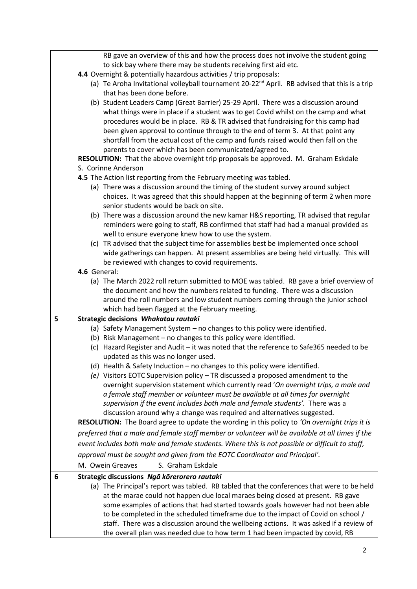| RB gave an overview of this and how the process does not involve the student going<br>to sick bay where there may be students receiving first aid etc.<br>4.4 Overnight & potentially hazardous activities / trip proposals: |  |
|------------------------------------------------------------------------------------------------------------------------------------------------------------------------------------------------------------------------------|--|
|                                                                                                                                                                                                                              |  |
|                                                                                                                                                                                                                              |  |
|                                                                                                                                                                                                                              |  |
| (a) Te Aroha Invitational volleyball tournament 20-22 <sup>nd</sup> April. RB advised that this is a trip                                                                                                                    |  |
| that has been done before.                                                                                                                                                                                                   |  |
| (b) Student Leaders Camp (Great Barrier) 25-29 April. There was a discussion around                                                                                                                                          |  |
| what things were in place if a student was to get Covid whilst on the camp and what                                                                                                                                          |  |
| procedures would be in place. RB & TR advised that fundraising for this camp had                                                                                                                                             |  |
| been given approval to continue through to the end of term 3. At that point any                                                                                                                                              |  |
| shortfall from the actual cost of the camp and funds raised would then fall on the                                                                                                                                           |  |
| parents to cover which has been communicated/agreed to.                                                                                                                                                                      |  |
| RESOLUTION: That the above overnight trip proposals be approved. M. Graham Eskdale                                                                                                                                           |  |
| S. Corinne Anderson                                                                                                                                                                                                          |  |
| 4.5 The Action list reporting from the February meeting was tabled.                                                                                                                                                          |  |
| (a) There was a discussion around the timing of the student survey around subject                                                                                                                                            |  |
| choices. It was agreed that this should happen at the beginning of term 2 when more                                                                                                                                          |  |
| senior students would be back on site.                                                                                                                                                                                       |  |
| (b) There was a discussion around the new kamar H&S reporting, TR advised that regular                                                                                                                                       |  |
| reminders were going to staff, RB confirmed that staff had had a manual provided as                                                                                                                                          |  |
| well to ensure everyone knew how to use the system.                                                                                                                                                                          |  |
| (c) TR advised that the subject time for assemblies best be implemented once school                                                                                                                                          |  |
|                                                                                                                                                                                                                              |  |
| wide gatherings can happen. At present assemblies are being held virtually. This will                                                                                                                                        |  |
| be reviewed with changes to covid requirements.                                                                                                                                                                              |  |
| 4.6 General:                                                                                                                                                                                                                 |  |
| (a) The March 2022 roll return submitted to MOE was tabled. RB gave a brief overview of                                                                                                                                      |  |
| the document and how the numbers related to funding. There was a discussion                                                                                                                                                  |  |
| around the roll numbers and low student numbers coming through the junior school                                                                                                                                             |  |
| which had been flagged at the February meeting.                                                                                                                                                                              |  |
| 5<br>Strategic decisions Whakatau rautaki                                                                                                                                                                                    |  |
| (a) Safety Management System - no changes to this policy were identified.                                                                                                                                                    |  |
| (b) Risk Management - no changes to this policy were identified.                                                                                                                                                             |  |
| (c) Hazard Register and Audit - it was noted that the reference to Safe365 needed to be                                                                                                                                      |  |
| updated as this was no longer used.                                                                                                                                                                                          |  |
| (d) Health & Safety Induction - no changes to this policy were identified.                                                                                                                                                   |  |
| (e) Visitors EOTC Supervision policy - TR discussed a proposed amendment to the                                                                                                                                              |  |
| overnight supervision statement which currently read 'On overnight trips, a male and                                                                                                                                         |  |
| a female staff member or volunteer must be available at all times for overnight                                                                                                                                              |  |
| supervision if the event includes both male and female students'. There was a                                                                                                                                                |  |
| discussion around why a change was required and alternatives suggested.                                                                                                                                                      |  |
| RESOLUTION: The Board agree to update the wording in this policy to 'On overnight trips it is                                                                                                                                |  |
| preferred that a male and female staff member or volunteer will be available at all times if the                                                                                                                             |  |
| event includes both male and female students. Where this is not possible or difficult to staff,                                                                                                                              |  |
| approval must be sought and given from the EOTC Coordinator and Principal'.                                                                                                                                                  |  |
| M. Owein Greaves<br>S. Graham Eskdale                                                                                                                                                                                        |  |
| 6<br>Strategic discussions Ngā kōrerorero rautaki                                                                                                                                                                            |  |
| (a) The Principal's report was tabled. RB tabled that the conferences that were to be held                                                                                                                                   |  |
| at the marae could not happen due local maraes being closed at present. RB gave                                                                                                                                              |  |
| some examples of actions that had started towards goals however had not been able                                                                                                                                            |  |
| to be completed in the scheduled timeframe due to the impact of Covid on school /<br>staff. There was a discussion around the wellbeing actions. It was asked if a review of                                                 |  |